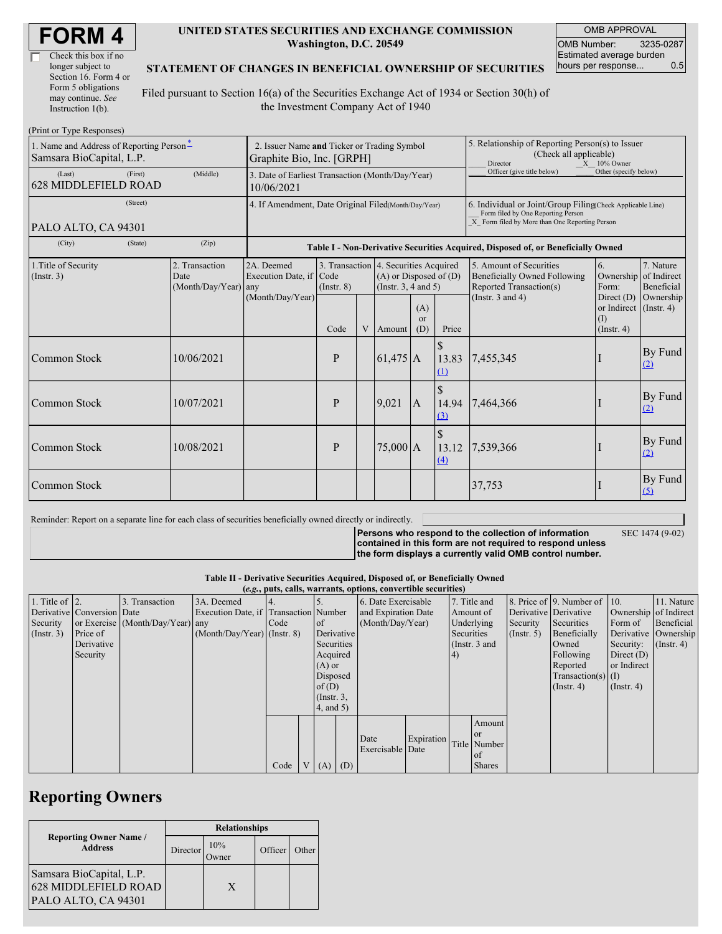| Check this box if no  |  |
|-----------------------|--|
| longer subject to     |  |
| Section 16. Form 4 or |  |
| Form 5 obligations    |  |
| may continue. See     |  |
| Instruction 1(b).     |  |

#### **UNITED STATES SECURITIES AND EXCHANGE COMMISSION Washington, D.C. 20549**

OMB APPROVAL OMB Number: 3235-0287 Estimated average burden hours per response... 0.5

#### **STATEMENT OF CHANGES IN BENEFICIAL OWNERSHIP OF SECURITIES**

Filed pursuant to Section 16(a) of the Securities Exchange Act of 1934 or Section 30(h) of the Investment Company Act of 1940

| (Print or Type Responses)                                            |                                                                          |                                       |                                                                                  |   |                                                                                                 |                                                                                                            |                                                                                                                                                    |                                                                                                                       |                                                                      |                                        |  |
|----------------------------------------------------------------------|--------------------------------------------------------------------------|---------------------------------------|----------------------------------------------------------------------------------|---|-------------------------------------------------------------------------------------------------|------------------------------------------------------------------------------------------------------------|----------------------------------------------------------------------------------------------------------------------------------------------------|-----------------------------------------------------------------------------------------------------------------------|----------------------------------------------------------------------|----------------------------------------|--|
| 1. Name and Address of Reporting Person-<br>Samsara BioCapital, L.P. | 2. Issuer Name and Ticker or Trading Symbol<br>Graphite Bio, Inc. [GRPH] |                                       |                                                                                  |   |                                                                                                 | 5. Relationship of Reporting Person(s) to Issuer<br>(Check all applicable)<br>Director<br>$X = 10\%$ Owner |                                                                                                                                                    |                                                                                                                       |                                                                      |                                        |  |
| (Last)<br>(First)<br><b>628 MIDDLEFIELD ROAD</b>                     | (Middle)                                                                 | 10/06/2021                            | 3. Date of Earliest Transaction (Month/Day/Year)                                 |   |                                                                                                 |                                                                                                            |                                                                                                                                                    | Officer (give title below)                                                                                            | Other (specify below)                                                |                                        |  |
| (Street)<br>PALO ALTO, CA 94301                                      | 4. If Amendment, Date Original Filed(Month/Day/Year)                     |                                       |                                                                                  |   |                                                                                                 |                                                                                                            | 6. Individual or Joint/Group Filing(Check Applicable Line)<br>Form filed by One Reporting Person<br>X Form filed by More than One Reporting Person |                                                                                                                       |                                                                      |                                        |  |
| (City)<br>(State)                                                    | (Zip)                                                                    |                                       | Table I - Non-Derivative Securities Acquired, Disposed of, or Beneficially Owned |   |                                                                                                 |                                                                                                            |                                                                                                                                                    |                                                                                                                       |                                                                      |                                        |  |
| 1. Title of Security<br>$($ Instr. 3 $)$                             | 2. Transaction<br>Date<br>(Month/Day/Year) any                           | 2A. Deemed<br>Execution Date, if Code | $($ Instr. $8)$                                                                  |   | 3. Transaction 4. Securities Acquired<br>$(A)$ or Disposed of $(D)$<br>(Instr. $3, 4$ and $5$ ) |                                                                                                            |                                                                                                                                                    | 5. Amount of Securities<br>6.<br><b>Beneficially Owned Following</b><br>Ownership<br>Reported Transaction(s)<br>Form: |                                                                      | 7. Nature<br>of Indirect<br>Beneficial |  |
|                                                                      |                                                                          | (Month/Day/Year)                      | Code                                                                             | V | Amount                                                                                          | (A)<br>or<br>(D)                                                                                           | Price                                                                                                                                              | (Instr. $3$ and $4$ )                                                                                                 | Direct $(D)$<br>or Indirect $($ Instr. 4)<br>(I)<br>$($ Instr. 4 $)$ | Ownership                              |  |
| Common Stock                                                         | 10/06/2021                                                               |                                       | P                                                                                |   | $61,475$ A                                                                                      |                                                                                                            | 13.83<br>(1)                                                                                                                                       | 7,455,345                                                                                                             |                                                                      | By Fund<br>(2)                         |  |
| Common Stock                                                         | 10/07/2021                                                               |                                       | P                                                                                |   | 9,021                                                                                           | $\mathsf{A}$                                                                                               | $\mathcal{S}$<br>(3)                                                                                                                               | 14.94 7,464,366                                                                                                       |                                                                      | By Fund<br>(2)                         |  |
| Common Stock                                                         | 10/08/2021                                                               |                                       | P                                                                                |   | $75,000$ A                                                                                      |                                                                                                            | 13.12<br>(4)                                                                                                                                       | 7,539,366                                                                                                             |                                                                      | By Fund<br>$\Omega$                    |  |
| Common Stock                                                         |                                                                          |                                       |                                                                                  |   |                                                                                                 |                                                                                                            |                                                                                                                                                    | 37,753                                                                                                                |                                                                      | By Fund<br>(5)                         |  |

Reminder: Report on a separate line for each class of securities beneficially owned directly or indirectly.

**Persons who respond to the collection of information contained in this form are not required to respond unless** SEC 1474 (9-02)

**the form displays a currently valid OMB control number.**

| Table II - Derivative Securities Acquired, Disposed of, or Beneficially Owned |  |  |  |
|-------------------------------------------------------------------------------|--|--|--|
|-------------------------------------------------------------------------------|--|--|--|

|                        | (e.g., puts, calls, warrants, options, convertible securities) |                                  |                                       |      |  |                 |            |                     |            |              |                  |              |                          |                       |               |
|------------------------|----------------------------------------------------------------|----------------------------------|---------------------------------------|------|--|-----------------|------------|---------------------|------------|--------------|------------------|--------------|--------------------------|-----------------------|---------------|
| 1. Title of $\vert$ 2. |                                                                | 3. Transaction                   | 3A. Deemed                            |      |  |                 |            | 6. Date Exercisable |            | 7. Title and |                  |              | 8. Price of 9. Number of | 110.                  | 11. Nature    |
|                        | Derivative Conversion Date                                     |                                  | Execution Date, if Transaction Number |      |  |                 |            | and Expiration Date |            | Amount of    |                  |              | Derivative Derivative    | Ownership of Indirect |               |
| Security               |                                                                | or Exercise (Month/Day/Year) any |                                       | Code |  | of              |            | (Month/Day/Year)    |            | Underlying   |                  | Security     | Securities               | Form of               | Beneficial    |
| $($ Instr. 3 $)$       | Price of                                                       |                                  | $(Month/Day/Year)$ (Instr. 8)         |      |  |                 | Derivative |                     | Securities |              | $($ Instr. 5 $)$ | Beneficially | Derivative Ownership     |                       |               |
|                        | Derivative                                                     |                                  |                                       |      |  | Securities      |            |                     |            |              | (Instr. $3$ and  |              | Owned                    | Security:             | $($ Instr. 4) |
|                        | Security                                                       |                                  |                                       |      |  | Acquired        |            |                     |            | (4)          |                  |              | Following                | Direct $(D)$          |               |
|                        |                                                                |                                  |                                       |      |  | $(A)$ or        |            |                     |            |              |                  |              | Reported                 | or Indirect           |               |
|                        |                                                                |                                  |                                       |      |  | Disposed        |            |                     |            |              |                  |              | $Transaction(s)$ (I)     |                       |               |
|                        |                                                                |                                  |                                       |      |  | of(D)           |            |                     |            |              |                  |              | $($ Instr. 4 $)$         | $($ Instr. 4 $)$      |               |
|                        |                                                                |                                  |                                       |      |  | $($ Instr. $3,$ |            |                     |            |              |                  |              |                          |                       |               |
|                        |                                                                |                                  |                                       |      |  | 4, and 5)       |            |                     |            |              |                  |              |                          |                       |               |
|                        |                                                                |                                  |                                       |      |  |                 |            |                     |            |              | Amount           |              |                          |                       |               |
|                        |                                                                |                                  |                                       |      |  |                 |            |                     |            |              | or               |              |                          |                       |               |
|                        |                                                                |                                  |                                       |      |  |                 |            | Date                | Expiration |              | Title Number     |              |                          |                       |               |
|                        |                                                                |                                  |                                       |      |  |                 |            | Exercisable Date    |            |              | <b>of</b>        |              |                          |                       |               |
|                        |                                                                |                                  |                                       | Code |  | $V(A)$ (D)      |            |                     |            |              | <b>Shares</b>    |              |                          |                       |               |

# **Reporting Owners**

|                                                                                | <b>Relationships</b> |             |         |       |  |  |
|--------------------------------------------------------------------------------|----------------------|-------------|---------|-------|--|--|
| <b>Reporting Owner Name /</b><br><b>Address</b>                                | Director             | 10%<br>wner | Officer | Other |  |  |
| Samsara BioCapital, L.P.<br><b>628 MIDDLEFIELD ROAD</b><br>PALO ALTO, CA 94301 |                      | X           |         |       |  |  |